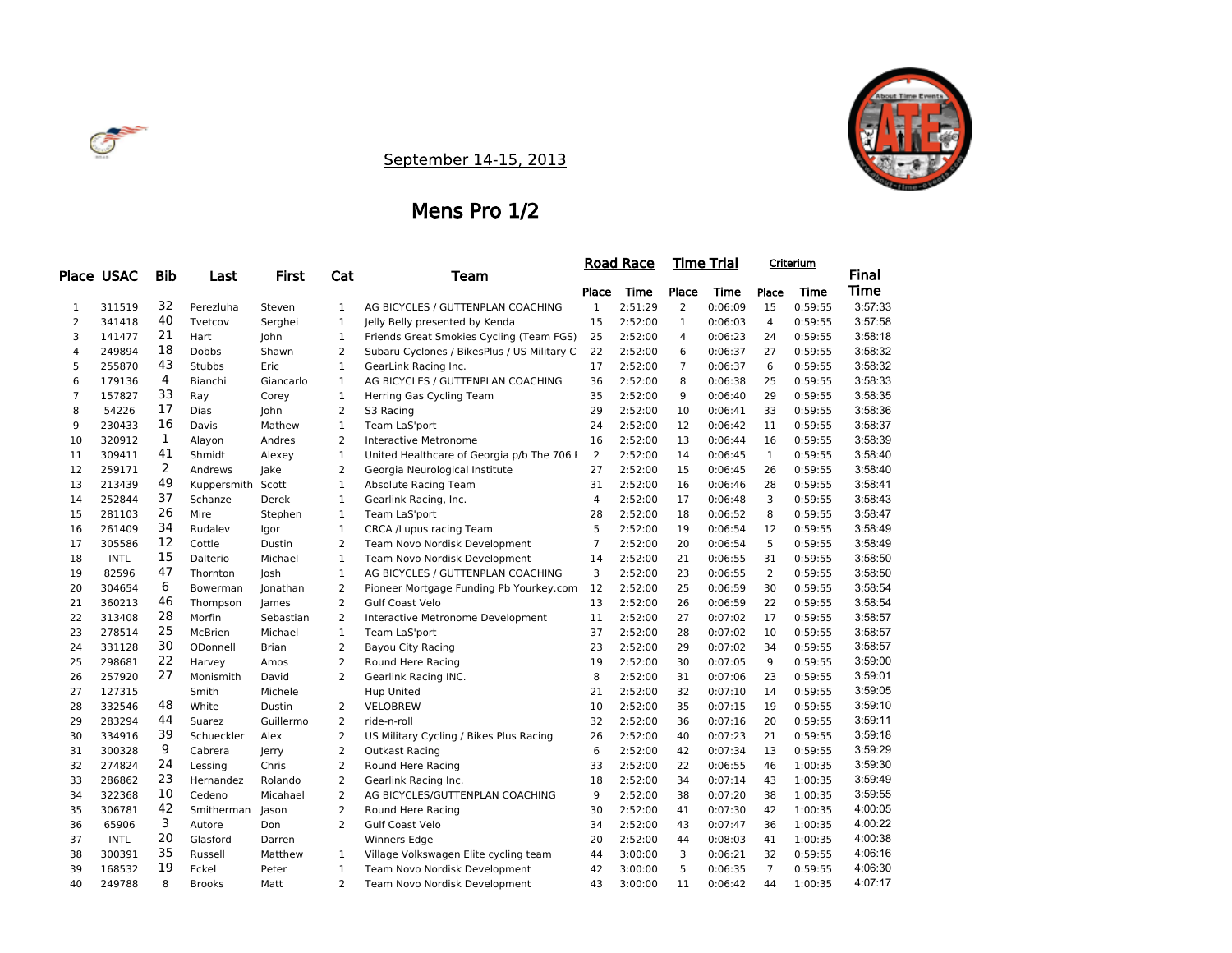



### September 14-15, 2013

### Mens Pro 1/2

|                |             |            |                |              |                |                                             |                | <u>Road Race</u> |                | Time Trial |                | Criterium |         |
|----------------|-------------|------------|----------------|--------------|----------------|---------------------------------------------|----------------|------------------|----------------|------------|----------------|-----------|---------|
|                | Place USAC  | <b>Bib</b> | Last           | <b>First</b> | Cat            | Team                                        |                |                  |                |            |                |           | Final   |
|                |             |            |                |              |                |                                             | Place          | Time             | Place          | Time       | Place          | Time      | Time    |
| 1              | 311519      | 32         | Perezluha      | Steven       | 1              | AG BICYCLES / GUTTENPLAN COACHING           | $\mathbf{1}$   | 2:51:29          | $\overline{2}$ | 0:06:09    | 15             | 0:59:55   | 3:57:33 |
| $\overline{2}$ | 341418      | 40         | Tvetcov        | Serghei      | $\mathbf{1}$   | Jelly Belly presented by Kenda              | 15             | 2:52:00          | 1              | 0:06:03    | 4              | 0:59:55   | 3:57:58 |
| 3              | 141477      | 21         | Hart           | John         | $\mathbf{1}$   | Friends Great Smokies Cycling (Team FGS)    | 25             | 2:52:00          | 4              | 0:06:23    | 24             | 0:59:55   | 3:58:18 |
| 4              | 249894      | 18         | Dobbs          | Shawn        | 2              | Subaru Cyclones / BikesPlus / US Military C | 22             | 2:52:00          | 6              | 0:06:37    | 27             | 0:59:55   | 3:58:32 |
| 5              | 255870      | 43         | <b>Stubbs</b>  | Eric         | $\mathbf{1}$   | GearLink Racing Inc.                        | 17             | 2:52:00          | $\overline{7}$ | 0:06:37    | 6              | 0:59:55   | 3:58:32 |
| 6              | 179136      | 4          | Bianchi        | Giancarlo    | $\mathbf{1}$   | AG BICYCLES / GUTTENPLAN COACHING           | 36             | 2:52:00          | 8              | 0:06:38    | 25             | 0:59:55   | 3:58:33 |
| $\overline{7}$ | 157827      | 33         | Ray            | Corey        | $\mathbf{1}$   | Herring Gas Cycling Team                    | 35             | 2:52:00          | 9              | 0:06:40    | 29             | 0:59:55   | 3:58:35 |
| 8              | 54226       | 17         | Dias           | John         | $\overline{2}$ | S3 Racing                                   | 29             | 2:52:00          | 10             | 0:06:41    | 33             | 0:59:55   | 3:58:36 |
| 9              | 230433      | 16         | Davis          | Mathew       | $\mathbf{1}$   | Team LaS'port                               | 24             | 2:52:00          | 12             | 0:06:42    | 11             | 0:59:55   | 3:58:37 |
| 10             | 320912      | 1          | Alayon         | Andres       | $\overline{2}$ | <b>Interactive Metronome</b>                | 16             | 2:52:00          | 13             | 0:06:44    | 16             | 0:59:55   | 3:58:39 |
| 11             | 309411      | 41         | Shmidt         | Alexey       | $\mathbf{1}$   | United Healthcare of Georgia p/b The 706 I  | 2              | 2:52:00          | 14             | 0:06:45    | $\mathbf{1}$   | 0:59:55   | 3:58:40 |
| 12             | 259171      | 2          | Andrews        | Jake         | $\overline{2}$ | Georgia Neurological Institute              | 27             | 2:52:00          | 15             | 0:06:45    | 26             | 0:59:55   | 3:58:40 |
| 13             | 213439      | 49         | Kuppersmith    | Scott        | $\mathbf{1}$   | <b>Absolute Racing Team</b>                 | 31             | 2:52:00          | 16             | 0:06:46    | 28             | 0:59:55   | 3:58:41 |
| 14             | 252844      | 37         | Schanze        | Derek        | $\mathbf{1}$   | Gearlink Racing, Inc.                       | $\overline{4}$ | 2:52:00          | 17             | 0:06:48    | 3              | 0:59:55   | 3:58:43 |
| 15             | 281103      | 26         | Mire           | Stephen      | $\mathbf{1}$   | Team LaS'port                               | 28             | 2:52:00          | 18             | 0:06:52    | 8              | 0:59:55   | 3:58:47 |
| 16             | 261409      | 34         | Rudalev        | Igor         | $1\,$          | CRCA /Lupus racing Team                     | 5              | 2:52:00          | 19             | 0:06:54    | 12             | 0:59:55   | 3:58:49 |
| 17             | 305586      | 12         | Cottle         | Dustin       | $\overline{2}$ | Team Novo Nordisk Development               | $\overline{7}$ | 2:52:00          | 20             | 0:06:54    | 5              | 0:59:55   | 3:58:49 |
| 18             | <b>INTL</b> | 15         | Dalterio       | Michael      | $\mathbf{1}$   | Team Novo Nordisk Development               | 14             | 2:52:00          | 21             | 0:06:55    | 31             | 0:59:55   | 3:58:50 |
| 19             | 82596       | 47         | Thornton       | Josh         | $\mathbf{1}$   | AG BICYCLES / GUTTENPLAN COACHING           | 3              | 2:52:00          | 23             | 0:06:55    | 2              | 0:59:55   | 3:58:50 |
| 20             | 304654      | 6          | Bowerman       | Jonathan     | $\overline{2}$ | Pioneer Mortgage Funding Pb Yourkey.com     | 12             | 2:52:00          | 25             | 0:06:59    | 30             | 0:59:55   | 3:58:54 |
| 21             | 360213      | 46         | Thompson       | James        | $\overline{2}$ | <b>Gulf Coast Velo</b>                      | 13             | 2:52:00          | 26             | 0:06:59    | 22             | 0:59:55   | 3:58:54 |
| 22             | 313408      | 28         | Morfin         | Sebastian    | $\overline{2}$ | Interactive Metronome Development           | 11             | 2:52:00          | 27             | 0:07:02    | 17             | 0:59:55   | 3:58:57 |
| 23             | 278514      | 25         | <b>McBrien</b> | Michael      | $\mathbf{1}$   | Team LaS'port                               | 37             | 2:52:00          | 28             | 0:07:02    | 10             | 0:59:55   | 3:58:57 |
| 24             | 331128      | 30         | ODonnell       | <b>Brian</b> | $\overline{2}$ | <b>Bayou City Racing</b>                    | 23             | 2:52:00          | 29             | 0:07:02    | 34             | 0:59:55   | 3:58:57 |
| 25             | 298681      | 22         | Harvey         | Amos         | $\overline{2}$ | Round Here Racing                           | 19             | 2:52:00          | 30             | 0:07:05    | 9              | 0:59:55   | 3:59:00 |
| 26             | 257920      | 27         | Monismith      | David        | $\overline{2}$ | Gearlink Racing INC.                        | 8              | 2:52:00          | 31             | 0:07:06    | 23             | 0:59:55   | 3:59:01 |
| 27             | 127315      |            | Smith          | Michele      |                | <b>Hup United</b>                           | 21             | 2:52:00          | 32             | 0:07:10    | 14             | 0:59:55   | 3:59:05 |
| 28             | 332546      | 48         | White          | Dustin       | 2              | <b>VELOBREW</b>                             | 10             | 2:52:00          | 35             | 0:07:15    | 19             | 0:59:55   | 3:59:10 |
| 29             | 283294      | 44         | Suarez         | Guillermo    | $\overline{2}$ | ride-n-roll                                 | 32             | 2:52:00          | 36             | 0:07:16    | 20             | 0:59:55   | 3:59:11 |
| 30             | 334916      | 39         | Schueckler     | Alex         | $\overline{2}$ | US Military Cycling / Bikes Plus Racing     | 26             | 2:52:00          | 40             | 0:07:23    | 21             | 0:59:55   | 3:59:18 |
| 31             | 300328      | 9          | Cabrera        | Jerry        | $\overline{2}$ | Outkast Racing                              | 6              | 2:52:00          | 42             | 0:07:34    | 13             | 0:59:55   | 3:59:29 |
| 32             | 274824      | 24         | Lessing        | Chris        | $\overline{2}$ | Round Here Racing                           | 33             | 2:52:00          | 22             | 0:06:55    | 46             | 1:00:35   | 3:59:30 |
| 33             | 286862      | 23         | Hernandez      | Rolando      | $\overline{2}$ | Gearlink Racing Inc.                        | 18             | 2:52:00          | 34             | 0:07:14    | 43             | 1:00:35   | 3:59:49 |
| 34             | 322368      | 10         | Cedeno         | Micahael     | $\overline{2}$ | AG BICYCLES/GUTTENPLAN COACHING             | 9              | 2:52:00          | 38             | 0:07:20    | 38             | 1:00:35   | 3:59:55 |
| 35             | 306781      | 42         | Smitherman     | Jason        | $\overline{2}$ | Round Here Racing                           | 30             | 2:52:00          | 41             | 0:07:30    | 42             | 1:00:35   | 4:00:05 |
| 36             | 65906       | 3          | Autore         | Don          | $\overline{2}$ | <b>Gulf Coast Velo</b>                      | 34             | 2:52:00          | 43             | 0:07:47    | 36             | 1:00:35   | 4:00:22 |
| 37             | <b>INTL</b> | 20         | Glasford       | Darren       |                | <b>Winners Edge</b>                         | 20             | 2:52:00          | 44             | 0:08:03    | 41             | 1:00:35   | 4:00:38 |
| 38             | 300391      | 35         | Russell        | Matthew      | $\mathbf{1}$   | Village Volkswagen Elite cycling team       | 44             | 3:00:00          | 3              | 0:06:21    | 32             | 0:59:55   | 4:06:16 |
| 39             | 168532      | 19         | Eckel          | Peter        | $\mathbf{1}$   | Team Novo Nordisk Development               | 42             | 3:00:00          | 5              | 0:06:35    | $\overline{7}$ | 0:59:55   | 4:06:30 |
| 40             | 249788      | 8          | <b>Brooks</b>  | Matt         | $\overline{2}$ | Team Novo Nordisk Development               | 43             | 3:00:00          | 11             | 0:06:42    | 44             | 1:00:35   | 4:07:17 |
|                |             |            |                |              |                |                                             |                |                  |                |            |                |           |         |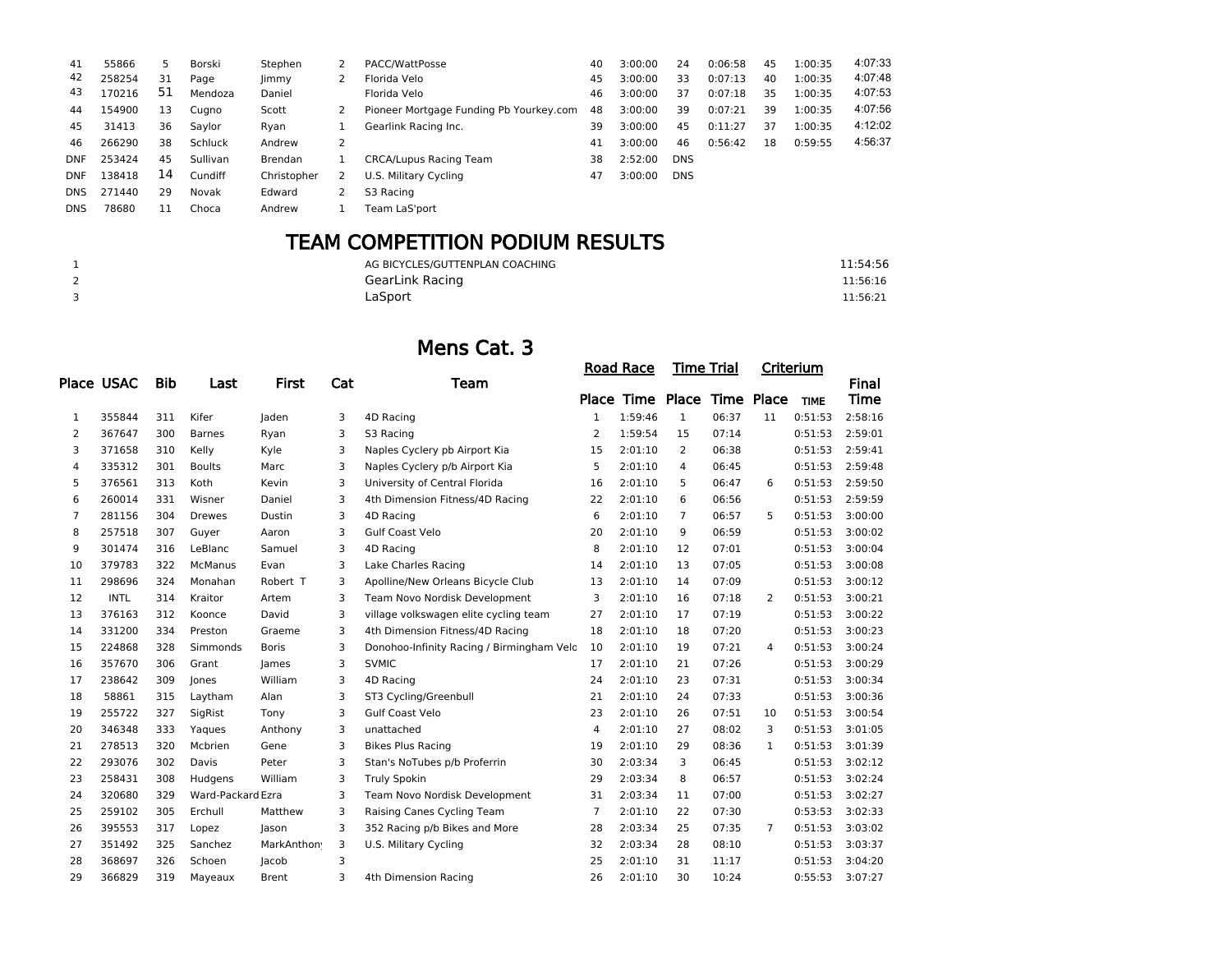| 41         | 55866  | 5  | Borski   | Stephen        | PACC/WattPosse                          | 40 | 3:00:00 | 24         | 0:06:58 | 45 | 1:00:35 | 4:07:33 |
|------------|--------|----|----------|----------------|-----------------------------------------|----|---------|------------|---------|----|---------|---------|
| 42         | 258254 | 31 | Page     | limmy          | Florida Velo                            | 45 | 3:00:00 | 33         | 0:07:13 | 40 | 1:00:35 | 4:07:48 |
| 43         | 170216 | 51 | Mendoza  | Daniel         | Florida Velo                            | 46 | 3:00:00 | 37         | 0:07:18 | 35 | 1:00:35 | 4:07:53 |
| 44         | 154900 | 13 | Cugno    | Scott          | Pioneer Mortgage Funding Pb Yourkey.com | 48 | 3:00:00 | 39         | 0:07:21 | 39 | 1:00:35 | 4:07:56 |
| 45         | 31413  | 36 | Saylor   | Ryan           | Gearlink Racing Inc.                    | 39 | 3:00:00 | 45         | 0:11:27 | 37 | 1:00:35 | 4:12:02 |
| 46         | 266290 | 38 | Schluck  | Andrew         |                                         | 41 | 3:00:00 | 46         | 0:56:42 | 18 | 0:59:55 | 4:56:37 |
| <b>DNF</b> | 253424 | 45 | Sullivan | <b>Brendan</b> | <b>CRCA/Lupus Racing Team</b>           | 38 | 2:52:00 | <b>DNS</b> |         |    |         |         |
| <b>DNF</b> | 138418 | 14 | Cundiff  | Christopher    | U.S. Military Cycling                   | 47 | 3:00:00 | <b>DNS</b> |         |    |         |         |
| <b>DNS</b> | 271440 | 29 | Novak    | Edward         | S3 Racing                               |    |         |            |         |    |         |         |
| <b>DNS</b> | 78680  | 11 | Choca    | Andrew         | Team LaS'port                           |    |         |            |         |    |         |         |
|            |        |    |          |                |                                         |    |         |            |         |    |         |         |

## TEAM COMPETITION PODIUM RESULTS

|   | AG BICYCLES/GUTTENPLAN COACHING | 11:54:56 |
|---|---------------------------------|----------|
| ∠ | GearLink Racing                 | 11:56:16 |
| ◡ | LaSport                         | 11:56:21 |

### Mens Cat. 3

|                |                   |     |                   |              |     |                                           |                | <b>Road Race</b> |                | Time Trial |                | Criterium   |         |
|----------------|-------------------|-----|-------------------|--------------|-----|-------------------------------------------|----------------|------------------|----------------|------------|----------------|-------------|---------|
|                | <b>Place USAC</b> | Bib | Last              | <b>First</b> | Cat | Team                                      |                |                  |                |            |                |             | Final   |
|                |                   |     |                   |              |     |                                           |                | Place Time Place |                | Time Place |                | <b>TIME</b> | Time    |
| 1              | 355844            | 311 | Kifer             | Jaden        | 3   | 4D Racing                                 | $\mathbf{1}$   | 1:59:46          | $\mathbf{1}$   | 06:37      | 11             | 0:51:53     | 2:58:16 |
| 2              | 367647            | 300 | <b>Barnes</b>     | Ryan         | 3   | S3 Racing                                 | 2              | 1:59:54          | 15             | 07:14      |                | 0:51:53     | 2:59:01 |
| 3              | 371658            | 310 | Kelly             | Kyle         | 3   | Naples Cyclery pb Airport Kia             | 15             | 2:01:10          | $\overline{2}$ | 06:38      |                | 0:51:53     | 2:59:41 |
| 4              | 335312            | 301 | <b>Boults</b>     | Marc         | 3   | Naples Cyclery p/b Airport Kia            | 5              | 2:01:10          | 4              | 06:45      |                | 0:51:53     | 2:59:48 |
| 5              | 376561            | 313 | Koth              | Kevin        | 3   | University of Central Florida             | 16             | 2:01:10          | 5              | 06:47      | 6              | 0:51:53     | 2:59:50 |
| 6              | 260014            | 331 | Wisner            | Daniel       | 3   | 4th Dimension Fitness/4D Racing           | 22             | 2:01:10          | 6              | 06:56      |                | 0:51:53     | 2:59:59 |
| $\overline{7}$ | 281156            | 304 | Drewes            | Dustin       | 3   | 4D Racing                                 | 6              | 2:01:10          | 7              | 06:57      | 5              | 0:51:53     | 3:00:00 |
| 8              | 257518            | 307 | Guyer             | Aaron        | 3   | <b>Gulf Coast Velo</b>                    | 20             | 2:01:10          | 9              | 06:59      |                | 0:51:53     | 3:00:02 |
| 9              | 301474            | 316 | LeBlanc           | Samuel       | 3   | 4D Racing                                 | 8              | 2:01:10          | 12             | 07:01      |                | 0:51:53     | 3:00:04 |
| 10             | 379783            | 322 | <b>McManus</b>    | Evan         | 3   | Lake Charles Racing                       | 14             | 2:01:10          | 13             | 07:05      |                | 0:51:53     | 3:00:08 |
| 11             | 298696            | 324 | Monahan           | Robert T     | 3   | Apolline/New Orleans Bicycle Club         | 13             | 2:01:10          | 14             | 07:09      |                | 0:51:53     | 3:00:12 |
| 12             | <b>INTL</b>       | 314 | Kraitor           | Artem        | 3   | Team Novo Nordisk Development             | 3              | 2:01:10          | 16             | 07:18      | 2              | 0:51:53     | 3:00:21 |
| 13             | 376163            | 312 | Koonce            | David        | 3   | village volkswagen elite cycling team     | 27             | 2:01:10          | 17             | 07:19      |                | 0:51:53     | 3:00:22 |
| 14             | 331200            | 334 | Preston           | Graeme       | 3   | 4th Dimension Fitness/4D Racing           | 18             | 2:01:10          | 18             | 07:20      |                | 0:51:53     | 3:00:23 |
| 15             | 224868            | 328 | Simmonds          | <b>Boris</b> | 3   | Donohoo-Infinity Racing / Birmingham Velo | 10             | 2:01:10          | 19             | 07:21      | 4              | 0:51:53     | 3:00:24 |
| 16             | 357670            | 306 | Grant             | James        | 3   | <b>SVMIC</b>                              | 17             | 2:01:10          | 21             | 07:26      |                | 0:51:53     | 3:00:29 |
| 17             | 238642            | 309 | Jones             | William      | 3   | 4D Racing                                 | 24             | 2:01:10          | 23             | 07:31      |                | 0:51:53     | 3:00:34 |
| 18             | 58861             | 315 | Laytham           | Alan         | 3   | ST3 Cycling/Greenbull                     | 21             | 2:01:10          | 24             | 07:33      |                | 0:51:53     | 3:00:36 |
| 19             | 255722            | 327 | SigRist           | Tony         | 3   | Gulf Coast Velo                           | 23             | 2:01:10          | 26             | 07:51      | 10             | 0:51:53     | 3:00:54 |
| 20             | 346348            | 333 | Yaques            | Anthony      | 3   | unattached                                | 4              | 2:01:10          | 27             | 08:02      | 3              | 0:51:53     | 3:01:05 |
| 21             | 278513            | 320 | Mcbrien           | Gene         | 3   | <b>Bikes Plus Racing</b>                  | 19             | 2:01:10          | 29             | 08:36      | $\mathbf{1}$   | 0:51:53     | 3:01:39 |
| 22             | 293076            | 302 | Davis             | Peter        | 3   | Stan's NoTubes p/b Proferrin              | 30             | 2:03:34          | 3              | 06:45      |                | 0:51:53     | 3:02:12 |
| 23             | 258431            | 308 | Hudgens           | William      | 3   | <b>Truly Spokin</b>                       | 29             | 2:03:34          | 8              | 06:57      |                | 0:51:53     | 3:02:24 |
| 24             | 320680            | 329 | Ward-Packard Ezra |              | 3   | Team Novo Nordisk Development             | 31             | 2:03:34          | 11             | 07:00      |                | 0:51:53     | 3:02:27 |
| 25             | 259102            | 305 | Erchull           | Matthew      | 3   | Raising Canes Cycling Team                | $\overline{7}$ | 2:01:10          | 22             | 07:30      |                | 0:53:53     | 3:02:33 |
| 26             | 395553            | 317 | Lopez             | Jason        | 3   | 352 Racing p/b Bikes and More             | 28             | 2:03:34          | 25             | 07:35      | $\overline{7}$ | 0:51:53     | 3:03:02 |
| 27             | 351492            | 325 | Sanchez           | MarkAnthon   | 3   | U.S. Military Cycling                     | 32             | 2:03:34          | 28             | 08:10      |                | 0:51:53     | 3:03:37 |
| 28             | 368697            | 326 | Schoen            | Jacob        | 3   |                                           | 25             | 2:01:10          | 31             | 11:17      |                | 0:51:53     | 3:04:20 |
| 29             | 366829            | 319 | Mayeaux           | Brent        | 3   | 4th Dimension Racing                      | 26             | 2:01:10          | 30             | 10:24      |                | 0:55:53     | 3:07:27 |
|                |                   |     |                   |              |     |                                           |                |                  |                |            |                |             |         |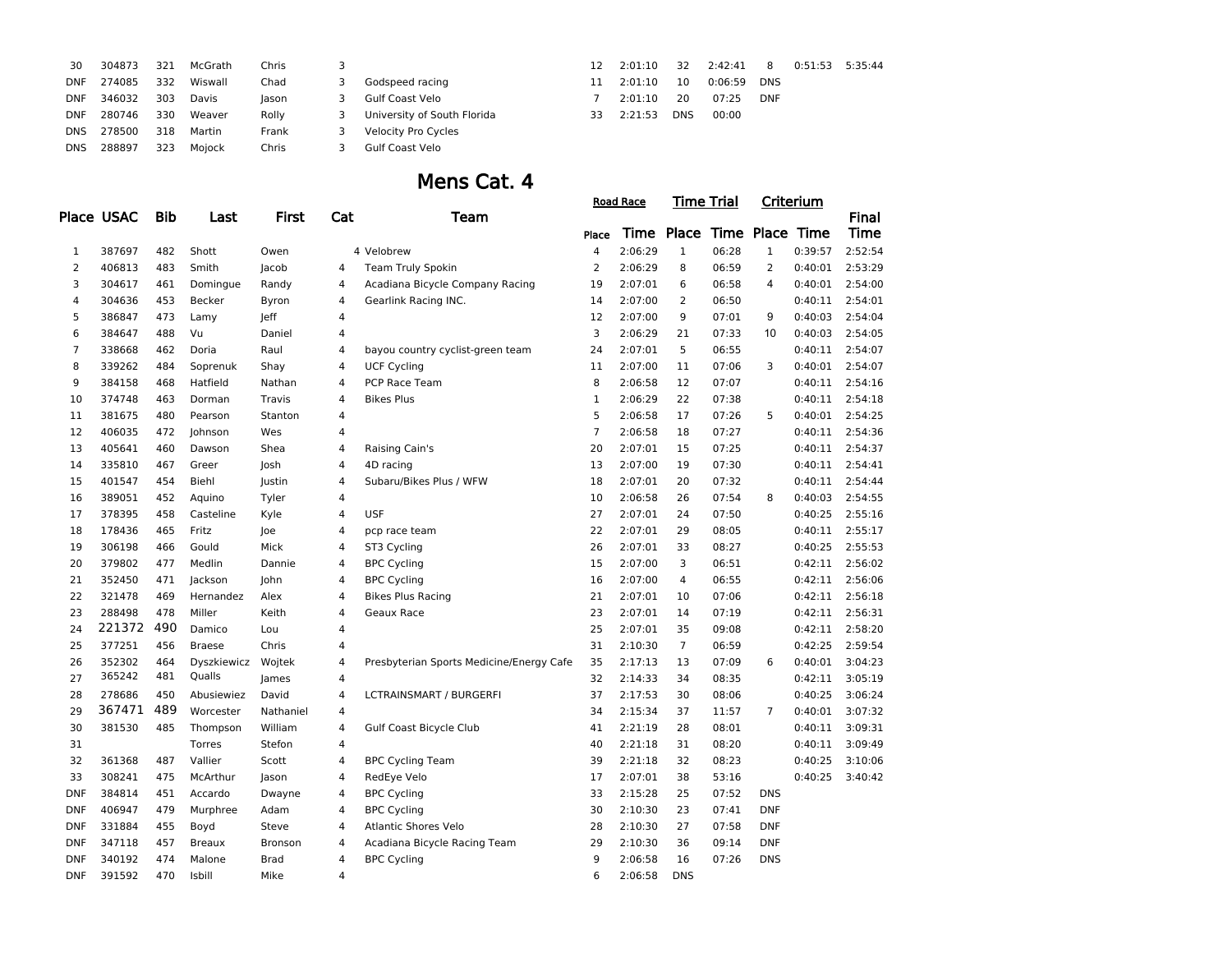| 30         | 304873 | 321 | McGrath | Chris |    |                             | 12  | 2:01:10 | 32         | 2:42:41 | 8          | 0:51:53 5:35:44 |  |
|------------|--------|-----|---------|-------|----|-----------------------------|-----|---------|------------|---------|------------|-----------------|--|
| DNF        | 274085 | 332 | Wiswall | Chad  |    | Godspeed racing             |     | 2:01:10 | 10         | 0:06:59 | <b>DNS</b> |                 |  |
| <b>DNF</b> | 346032 | 303 | Davis   | lason |    | Gulf Coast Velo             |     | 2:01:10 | 20         | 07:25   | <b>DNF</b> |                 |  |
| <b>DNF</b> | 280746 | 330 | Weaver  | Rolly | 3. | University of South Florida | 33. | 2:21:53 | <b>DNS</b> | 00:00   |            |                 |  |
| DNS        | 278500 | 318 | Martin  | Frank |    | Velocity Pro Cycles         |     |         |            |         |            |                 |  |
| DNS        | 288897 | 323 | Moiock  | Chris |    | Gulf Coast Velo             |     |         |            |         |            |                 |  |
|            |        |     |         |       |    |                             |     |         |            |         |            |                 |  |

### Mens Cat. 4

|                |            |            |               |              |                |                                          |                | <b>Road Race</b> | <u>Time Trial</u>          |       |                | <u>Criterium</u> |              |
|----------------|------------|------------|---------------|--------------|----------------|------------------------------------------|----------------|------------------|----------------------------|-------|----------------|------------------|--------------|
|                | Place USAC | <b>Bib</b> | Last          | <b>First</b> | Cat            | Team                                     |                |                  |                            |       |                |                  | <b>Final</b> |
|                |            |            |               |              |                |                                          | Place          |                  | Time Place Time Place Time |       |                |                  | Time         |
| $\mathbf{1}$   | 387697     | 482        | Shott         | Owen         |                | 4 Velobrew                               | $\overline{4}$ | 2:06:29          | $\mathbf{1}$               | 06:28 | $\mathbf{1}$   | 0:39:57          | 2:52:54      |
| $\overline{2}$ | 406813     | 483        | Smith         | Jacob        | 4              | Team Truly Spokin                        | $\overline{2}$ | 2:06:29          | 8                          | 06:59 | $\overline{2}$ | 0:40:01          | 2:53:29      |
| 3              | 304617     | 461        | Domingue      | Randy        | 4              | Acadiana Bicycle Company Racing          | 19             | 2:07:01          | 6                          | 06:58 | 4              | 0:40:01          | 2:54:00      |
| 4              | 304636     | 453        | Becker        | Byron        | 4              | Gearlink Racing INC.                     | 14             | 2:07:00          | $\overline{2}$             | 06:50 |                | 0:40:11          | 2:54:01      |
| 5              | 386847     | 473        | Lamy          | leff         | 4              |                                          | 12             | 2:07:00          | 9                          | 07:01 | 9              | 0:40:03          | 2:54:04      |
| 6              | 384647     | 488        | Vu            | Daniel       | 4              |                                          | 3              | 2:06:29          | 21                         | 07:33 | 10             | 0:40:03          | 2:54:05      |
| $\overline{7}$ | 338668     | 462        | Doria         | Raul         | $\overline{4}$ | bayou country cyclist-green team         | 24             | 2:07:01          | 5                          | 06:55 |                | 0:40:11          | 2:54:07      |
| 8              | 339262     | 484        | Soprenuk      | Shay         | 4              | <b>UCF Cycling</b>                       | 11             | 2:07:00          | 11                         | 07:06 | 3              | 0:40:01          | 2:54:07      |
| 9              | 384158     | 468        | Hatfield      | Nathan       | 4              | PCP Race Team                            | 8              | 2:06:58          | 12                         | 07:07 |                | 0:40:11          | 2:54:16      |
| 10             | 374748     | 463        | Dorman        | Travis       | 4              | <b>Bikes Plus</b>                        | $\mathbf 1$    | 2:06:29          | 22                         | 07:38 |                | 0:40:11          | 2:54:18      |
| 11             | 381675     | 480        | Pearson       | Stanton      | 4              |                                          | 5              | 2:06:58          | 17                         | 07:26 | 5              | 0:40:01          | 2:54:25      |
| 12             | 406035     | 472        | Johnson       | Wes          | 4              |                                          | $\overline{7}$ | 2:06:58          | 18                         | 07:27 |                | 0:40:11          | 2:54:36      |
| 13             | 405641     | 460        | Dawson        | Shea         | 4              | Raising Cain's                           | 20             | 2:07:01          | 15                         | 07:25 |                | 0:40:11          | 2:54:37      |
| 14             | 335810     | 467        | Greer         | Josh         | 4              | 4D racing                                | 13             | 2:07:00          | 19                         | 07:30 |                | 0:40:11          | 2:54:41      |
| 15             | 401547     | 454        | Biehl         | Justin       | 4              | Subaru/Bikes Plus / WFW                  | 18             | 2:07:01          | 20                         | 07:32 |                | 0:40:11          | 2:54:44      |
| 16             | 389051     | 452        | Aquino        | Tyler        | $\overline{4}$ |                                          | 10             | 2:06:58          | 26                         | 07:54 | 8              | 0:40:03          | 2:54:55      |
| 17             | 378395     | 458        | Casteline     | Kyle         | 4              | <b>USF</b>                               | 27             | 2:07:01          | 24                         | 07:50 |                | 0:40:25          | 2:55:16      |
| 18             | 178436     | 465        | Fritz         | Joe          | 4              | pcp race team                            | 22             | 2:07:01          | 29                         | 08:05 |                | 0:40:11          | 2:55:17      |
| 19             | 306198     | 466        | Gould         | Mick         | 4              | ST3 Cycling                              | 26             | 2:07:01          | 33                         | 08:27 |                | 0:40:25          | 2:55:53      |
| 20             | 379802     | 477        | Medlin        | Dannie       | 4              | <b>BPC Cycling</b>                       | 15             | 2:07:00          | 3                          | 06:51 |                | 0:42:11          | 2:56:02      |
| 21             | 352450     | 471        | Jackson       | John         | 4              | <b>BPC Cycling</b>                       | 16             | 2:07:00          | 4                          | 06:55 |                | 0:42:11          | 2:56:06      |
| 22             | 321478     | 469        | Hernandez     | Alex         | 4              | <b>Bikes Plus Racing</b>                 | 21             | 2:07:01          | 10                         | 07:06 |                | 0:42:11          | 2:56:18      |
| 23             | 288498     | 478        | Miller        | Keith        | 4              | Geaux Race                               | 23             | 2:07:01          | 14                         | 07:19 |                | 0:42:11          | 2:56:31      |
| 24             | 221372     | 490        | Damico        | Lou          | 4              |                                          | 25             | 2:07:01          | 35                         | 09:08 |                | 0:42:11          | 2:58:20      |
| 25             | 377251     | 456        | <b>Braese</b> | Chris        | $\overline{4}$ |                                          | 31             | 2:10:30          | $\overline{7}$             | 06:59 |                | 0:42:25          | 2:59:54      |
| 26             | 352302     | 464        | Dyszkiewicz   | Wojtek       | 4              | Presbyterian Sports Medicine/Energy Cafe | 35             | 2:17:13          | 13                         | 07:09 | 6              | 0:40:01          | 3:04:23      |
| 27             | 365242     | 481        | Qualls        | James        | 4              |                                          | 32             | 2:14:33          | 34                         | 08:35 |                | 0:42:11          | 3:05:19      |
| 28             | 278686     | 450        | Abusiewiez    | David        | 4              | <b>LCTRAINSMART / BURGERFI</b>           | 37             | 2:17:53          | 30                         | 08:06 |                | 0:40:25          | 3:06:24      |
| 29             | 367471     | 489        | Worcester     | Nathaniel    | 4              |                                          | 34             | 2:15:34          | 37                         | 11:57 | $\overline{7}$ | 0:40:01          | 3:07:32      |
| 30             | 381530     | 485        | Thompson      | William      | 4              | Gulf Coast Bicycle Club                  | 41             | 2:21:19          | 28                         | 08:01 |                | 0:40:11          | 3:09:31      |
| 31             |            |            | <b>Torres</b> | Stefon       | 4              |                                          | 40             | 2:21:18          | 31                         | 08:20 |                | 0:40:11          | 3:09:49      |
| 32             | 361368     | 487        | Vallier       | Scott        | $\overline{4}$ | <b>BPC Cycling Team</b>                  | 39             | 2:21:18          | 32                         | 08:23 |                | 0:40:25          | 3:10:06      |
| 33             | 308241     | 475        | McArthur      | Jason        | 4              | RedEye Velo                              | 17             | 2:07:01          | 38                         | 53:16 |                | 0:40:25          | 3:40:42      |
| <b>DNF</b>     | 384814     | 451        | Accardo       | Dwayne       | 4              | <b>BPC Cycling</b>                       | 33             | 2:15:28          | 25                         | 07:52 | <b>DNS</b>     |                  |              |
| <b>DNF</b>     | 406947     | 479        | Murphree      | Adam         | 4              | <b>BPC Cycling</b>                       | 30             | 2:10:30          | 23                         | 07:41 | <b>DNF</b>     |                  |              |
| <b>DNF</b>     | 331884     | 455        | Boyd          | Steve        | 4              | <b>Atlantic Shores Velo</b>              | 28             | 2:10:30          | 27                         | 07:58 | DNF            |                  |              |
| <b>DNF</b>     | 347118     | 457        | <b>Breaux</b> | Bronson      | 4              | Acadiana Bicycle Racing Team             | 29             | 2:10:30          | 36                         | 09:14 | <b>DNF</b>     |                  |              |
| <b>DNF</b>     | 340192     | 474        | Malone        | <b>Brad</b>  | 4              | <b>BPC Cycling</b>                       | 9              | 2:06:58          | 16                         | 07:26 | <b>DNS</b>     |                  |              |
| <b>DNF</b>     | 391592     | 470        | Isbill        | Mike         | 4              |                                          | 6              | 2:06:58          | <b>DNS</b>                 |       |                |                  |              |
|                |            |            |               |              |                |                                          |                |                  |                            |       |                |                  |              |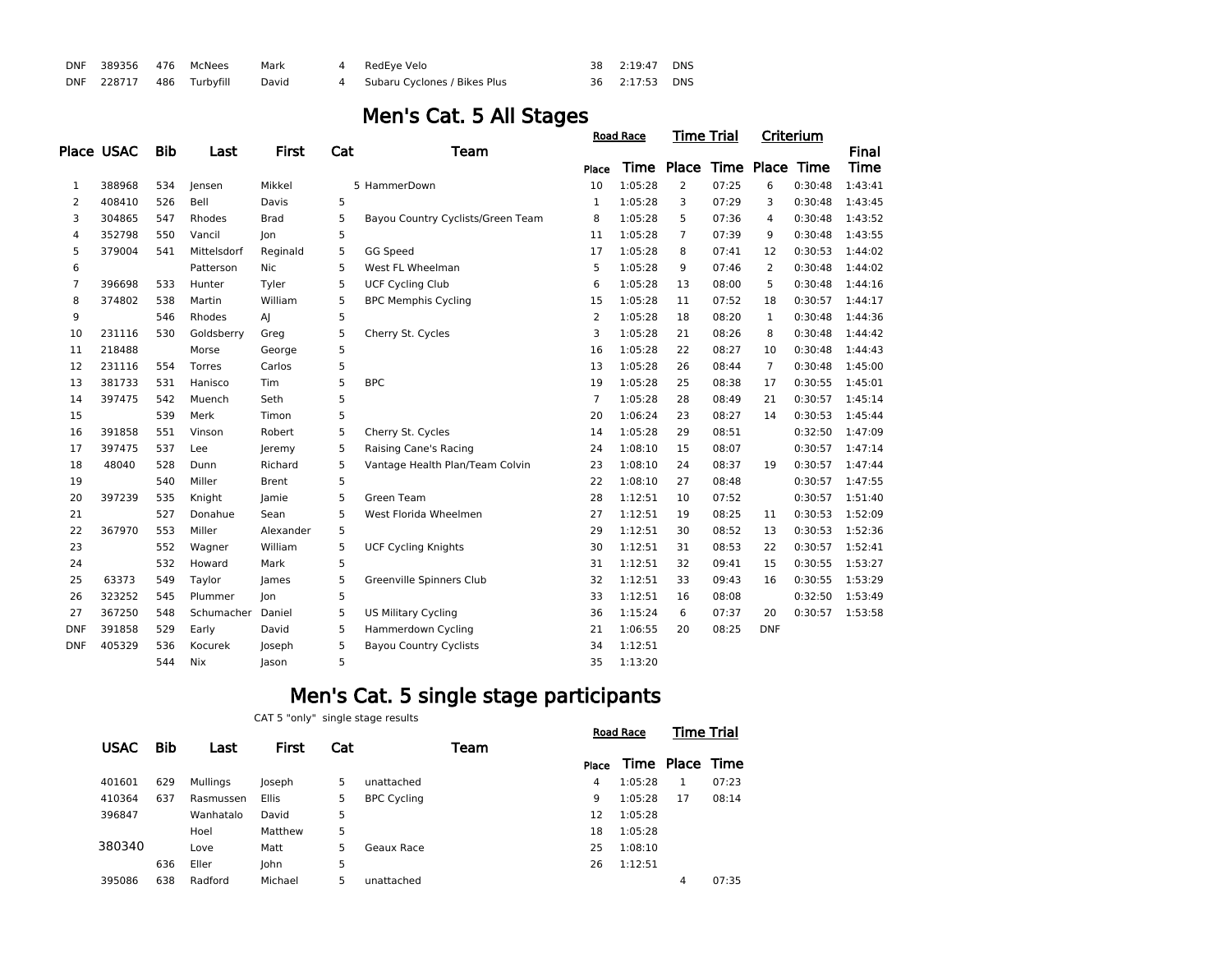| DNF 389356 476 McNees |                                | Mark | 4 RedEve Velo                  | 38  2:19:47  DNS |  |
|-----------------------|--------------------------------|------|--------------------------------|------------------|--|
|                       | DNF 228717 486 Turbyfill David |      | 4 Subaru Cyclones / Bikes Plus | 36 2:17:53 DNS   |  |

## Men's Cat. 5 All Stages

|                |            |            |             |              |     |                                   |                | <b>Road Race</b> | Time Trial     |       |                | Criterium |         |
|----------------|------------|------------|-------------|--------------|-----|-----------------------------------|----------------|------------------|----------------|-------|----------------|-----------|---------|
|                | Place USAC | <b>Bib</b> | Last        | First        | Cat | Team                              |                |                  |                |       |                |           | Final   |
|                |            |            |             |              |     |                                   | Place          | Time             | Place          |       | Time Place     | Time      | Time    |
| 1              | 388968     | 534        | lensen      | Mikkel       |     | 5 HammerDown                      | 10             | 1:05:28          | $\overline{2}$ | 07:25 | 6              | 0:30:48   | 1:43:41 |
| $\overline{2}$ | 408410     | 526        | Bell        | Davis        | 5   |                                   | $\mathbf{1}$   | 1:05:28          | 3              | 07:29 | 3              | 0:30:48   | 1:43:45 |
| 3              | 304865     | 547        | Rhodes      | <b>Brad</b>  | 5   | Bayou Country Cyclists/Green Team | 8              | 1:05:28          | 5              | 07:36 | 4              | 0:30:48   | 1:43:52 |
| 4              | 352798     | 550        | Vancil      | Jon          | 5   |                                   | 11             | 1:05:28          | $\overline{7}$ | 07:39 | 9              | 0:30:48   | 1:43:55 |
| 5              | 379004     | 541        | Mittelsdorf | Reginald     | 5   | GG Speed                          | 17             | 1:05:28          | 8              | 07:41 | 12             | 0:30:53   | 1:44:02 |
| 6              |            |            | Patterson   | Nic.         | 5   | West FL Wheelman                  | 5              | 1:05:28          | 9              | 07:46 | 2              | 0:30:48   | 1:44:02 |
| 7              | 396698     | 533        | Hunter      | Tyler        | 5   | <b>UCF Cycling Club</b>           | 6              | 1:05:28          | 13             | 08:00 | 5              | 0:30:48   | 1:44:16 |
| 8              | 374802     | 538        | Martin      | William      | 5   | <b>BPC Memphis Cycling</b>        | 15             | 1:05:28          | 11             | 07:52 | 18             | 0:30:57   | 1:44:17 |
| 9              |            | 546        | Rhodes      | $\mathsf{A}$ | 5   |                                   | 2              | 1:05:28          | 18             | 08:20 | $\mathbf{1}$   | 0:30:48   | 1:44:36 |
| 10             | 231116     | 530        | Goldsberry  | Greg         | 5   | Cherry St. Cycles                 | 3              | 1:05:28          | 21             | 08:26 | 8              | 0:30:48   | 1:44:42 |
| 11             | 218488     |            | Morse       | George       | 5   |                                   | 16             | 1:05:28          | 22             | 08:27 | 10             | 0:30:48   | 1:44:43 |
| 12             | 231116     | 554        | Torres      | Carlos       | 5   |                                   | 13             | 1:05:28          | 26             | 08:44 | $\overline{7}$ | 0:30:48   | 1:45:00 |
| 13             | 381733     | 531        | Hanisco     | Tim          | 5   | <b>BPC</b>                        | 19             | 1:05:28          | 25             | 08:38 | 17             | 0:30:55   | 1:45:01 |
| 14             | 397475     | 542        | Muench      | Seth         | 5   |                                   | $\overline{7}$ | 1:05:28          | 28             | 08:49 | 21             | 0:30:57   | 1:45:14 |
| 15             |            | 539        | Merk        | Timon        | 5   |                                   | 20             | 1:06:24          | 23             | 08:27 | 14             | 0:30:53   | 1:45:44 |
| 16             | 391858     | 551        | Vinson      | Robert       | 5   | Cherry St. Cycles                 | 14             | 1:05:28          | 29             | 08:51 |                | 0:32:50   | 1:47:09 |
| 17             | 397475     | 537        | Lee         | leremy       | 5   | Raising Cane's Racing             | 24             | 1:08:10          | 15             | 08:07 |                | 0:30:57   | 1:47:14 |
| 18             | 48040      | 528        | Dunn        | Richard      | 5   | Vantage Health Plan/Team Colvin   | 23             | 1:08:10          | 24             | 08:37 | 19             | 0:30:57   | 1:47:44 |
| 19             |            | 540        | Miller      | <b>Brent</b> | 5   |                                   | 22             | 1:08:10          | 27             | 08:48 |                | 0:30:57   | 1:47:55 |
| 20             | 397239     | 535        | Knight      | Jamie        | 5   | Green Team                        | 28             | 1:12:51          | 10             | 07:52 |                | 0:30:57   | 1:51:40 |
| 21             |            | 527        | Donahue     | Sean         | 5   | West Florida Wheelmen             | 27             | 1:12:51          | 19             | 08:25 | 11             | 0:30:53   | 1:52:09 |
| 22             | 367970     | 553        | Miller      | Alexander    | 5   |                                   | 29             | 1:12:51          | 30             | 08:52 | 13             | 0:30:53   | 1:52:36 |
| 23             |            | 552        | Wagner      | William      | 5   | <b>UCF Cycling Knights</b>        | 30             | 1:12:51          | 31             | 08:53 | 22             | 0:30:57   | 1:52:41 |
| 24             |            | 532        | Howard      | Mark         | 5   |                                   | 31             | 1:12:51          | 32             | 09:41 | 15             | 0:30:55   | 1:53:27 |
| 25             | 63373      | 549        | Taylor      | James        | 5   | Greenville Spinners Club          | 32             | 1:12:51          | 33             | 09:43 | 16             | 0:30:55   | 1:53:29 |
| 26             | 323252     | 545        | Plummer     | Jon          | 5   |                                   | 33             | 1:12:51          | 16             | 08:08 |                | 0:32:50   | 1:53:49 |
| 27             | 367250     | 548        | Schumacher  | Daniel       | 5   | <b>US Military Cycling</b>        | 36             | 1:15:24          | 6              | 07:37 | 20             | 0:30:57   | 1:53:58 |
| <b>DNF</b>     | 391858     | 529        | Early       | David        | 5   | Hammerdown Cycling                | 21             | 1:06:55          | 20             | 08:25 | <b>DNF</b>     |           |         |
| <b>DNF</b>     | 405329     | 536        | Kocurek     | Joseph       | 5   | <b>Bayou Country Cyclists</b>     | 34             | 1:12:51          |                |       |                |           |         |
|                |            | 544        | Nix         | Jason        | 5   |                                   | 35             | 1:13:20          |                |       |                |           |         |
|                |            |            |             |              |     |                                   |                |                  |                |       |                |           |         |

### Men's Cat. 5 single stage participants

CAT 5 "only" single stage results

|             |            |           |              |     |                    |      |       | <b>Road Race</b> | <b>Time Trial</b> |       |
|-------------|------------|-----------|--------------|-----|--------------------|------|-------|------------------|-------------------|-------|
| <b>USAC</b> | <b>Bib</b> | Last      | <b>First</b> | Cat |                    | Team |       |                  |                   |       |
|             |            |           |              |     |                    |      | Place | Time Place Time  |                   |       |
| 401601      | 629        | Mullinas  | Joseph       | 5   | unattached         |      | 4     | 1:05:28          |                   | 07:23 |
| 410364      | 637        | Rasmussen | <b>Ellis</b> | 5   | <b>BPC Cycling</b> |      | 9     | 1:05:28          | 17                | 08:14 |
| 396847      |            | Wanhatalo | David        | 5   |                    |      | 12    | 1:05:28          |                   |       |
|             |            | Hoel      | Matthew      | 5   |                    |      | 18    | 1:05:28          |                   |       |
| 380340      |            | Love      | Matt         | 5   | Geaux Race         |      | 25    | 1:08:10          |                   |       |
|             | 636        | Eller     | Iohn         | 5   |                    |      | 26    | 1:12:51          |                   |       |
| 395086      | 638        | Radford   | Michael      | 5   | unattached         |      |       |                  | 4                 | 07:35 |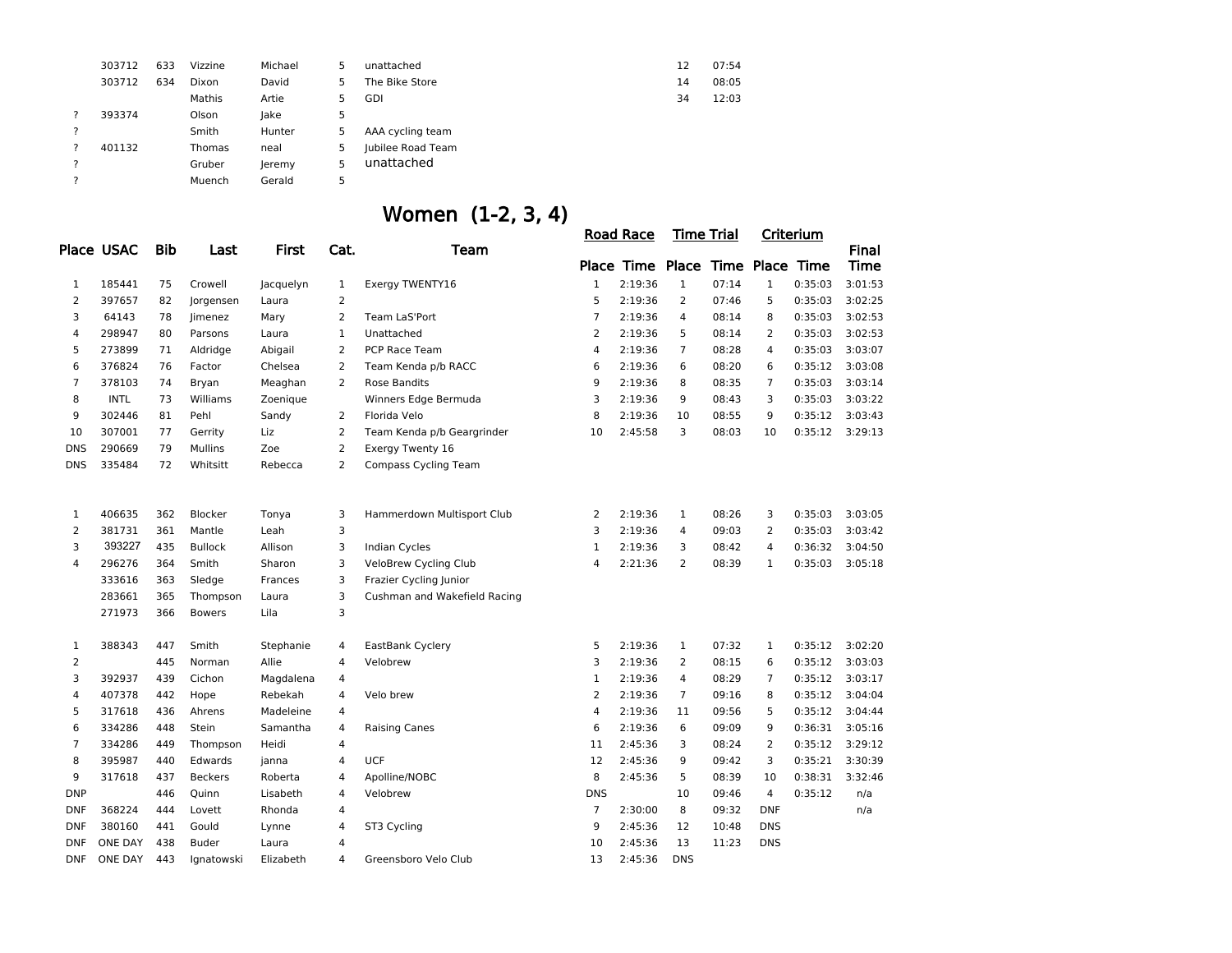|   | 303712 | 633 | Vizzine | Michael | 5 | unattached        | 12 | 07:54 |
|---|--------|-----|---------|---------|---|-------------------|----|-------|
|   | 303712 | 634 | Dixon   | David   | 5 | The Bike Store    | 14 | 08:05 |
|   |        |     | Mathis  | Artie   | 5 | GDI               | 34 | 12:03 |
| ? | 393374 |     | Olson   | lake    | 5 |                   |    |       |
| ? |        |     | Smith   | Hunter  | 5 | AAA cycling team  |    |       |
| ? | 401132 |     | Thomas  | neal    | 5 | Jubilee Road Team |    |       |
| ? |        |     | Gruber  | leremy  | 5 | unattached        |    |       |
| ? |        |     | Muench  | Gerald  | 5 |                   |    |       |
|   |        |     |         |         |   |                   |    |       |

|                |                |            |                |              |                | Women (1-2, 3, 4)            |                |                                  |                   |       |                |           |              |
|----------------|----------------|------------|----------------|--------------|----------------|------------------------------|----------------|----------------------------------|-------------------|-------|----------------|-----------|--------------|
|                |                |            |                |              |                |                              |                | <b>Road Race</b>                 | <b>Time Trial</b> |       |                | Criterium |              |
|                | Place USAC     | <b>Bib</b> | Last           | <b>First</b> | Cat.           | Team                         |                |                                  |                   |       |                |           | <b>Final</b> |
|                |                |            |                |              |                |                              |                | Place Time Place Time Place Time |                   |       |                |           | <b>Time</b>  |
| 1              | 185441         | 75         | Crowell        | Jacquelyn    | 1              | Exergy TWENTY16              | $\mathbf{1}$   | 2:19:36                          | $\mathbf{1}$      | 07:14 | $\mathbf{1}$   | 0:35:03   | 3:01:53      |
| $\overline{2}$ | 397657         | 82         | Jorgensen      | Laura        | $\overline{2}$ |                              | 5              | 2:19:36                          | $\overline{2}$    | 07:46 | 5              | 0:35:03   | 3:02:25      |
| 3              | 64143          | 78         | Jimenez        | Mary         | $\overline{2}$ | Team LaS'Port                | $\overline{7}$ | 2:19:36                          | 4                 | 08:14 | 8              | 0:35:03   | 3:02:53      |
| 4              | 298947         | 80         | Parsons        | Laura        | $\mathbf{1}$   | Unattached                   | 2              | 2:19:36                          | 5                 | 08:14 | 2              | 0:35:03   | 3:02:53      |
| 5              | 273899         | 71         | Aldridge       | Abigail      | 2              | PCP Race Team                | 4              | 2:19:36                          | $\overline{7}$    | 08:28 | 4              | 0:35:03   | 3:03:07      |
| 6              | 376824         | 76         | Factor         | Chelsea      | $\overline{2}$ | Team Kenda p/b RACC          | 6              | 2:19:36                          | 6                 | 08:20 | 6              | 0:35:12   | 3:03:08      |
| $\overline{7}$ | 378103         | 74         | Bryan          | Meaghan      | 2              | <b>Rose Bandits</b>          | 9              | 2:19:36                          | 8                 | 08:35 | $\overline{7}$ | 0:35:03   | 3:03:14      |
| 8              | <b>INTL</b>    | 73         | Williams       | Zoenique     |                | Winners Edge Bermuda         | 3              | 2:19:36                          | 9                 | 08:43 | 3              | 0:35:03   | 3:03:22      |
| 9              | 302446         | 81         | Pehl           | Sandy        | 2              | Florida Velo                 | 8              | 2:19:36                          | 10                | 08:55 | 9              | 0:35:12   | 3:03:43      |
| 10             | 307001         | 77         | Gerrity        | Liz          | 2              | Team Kenda p/b Geargrinder   | 10             | 2:45:58                          | 3                 | 08:03 | 10             | 0:35:12   | 3:29:13      |
| <b>DNS</b>     | 290669         | 79         | <b>Mullins</b> | Zoe          | $\overline{2}$ | Exergy Twenty 16             |                |                                  |                   |       |                |           |              |
| <b>DNS</b>     | 335484         | 72         | Whitsitt       | Rebecca      | 2              | <b>Compass Cycling Team</b>  |                |                                  |                   |       |                |           |              |
|                |                |            |                |              |                |                              |                |                                  |                   |       |                |           |              |
| $\mathbf{1}$   | 406635         | 362        | Blocker        | Tonya        | 3              | Hammerdown Multisport Club   | 2              | 2:19:36                          | $\mathbf{1}$      | 08:26 | 3              | 0:35:03   | 3:03:05      |
| 2              | 381731         | 361        | Mantle         | Leah         | 3              |                              | 3              | 2:19:36                          | 4                 | 09:03 | 2              | 0:35:03   | 3:03:42      |
| 3              | 393227         | 435        | <b>Bullock</b> | Allison      | 3              | <b>Indian Cycles</b>         | $\mathbf{1}$   | 2:19:36                          | 3                 | 08:42 | 4              | 0:36:32   | 3:04:50      |
| 4              | 296276         | 364        | Smith          | Sharon       | 3              | VeloBrew Cycling Club        | $\overline{4}$ | 2:21:36                          | 2                 | 08:39 | 1              | 0:35:03   | 3:05:18      |
|                | 333616         | 363        | Sledge         | Frances      | 3              | Frazier Cycling Junior       |                |                                  |                   |       |                |           |              |
|                | 283661         | 365        | Thompson       | Laura        | 3              | Cushman and Wakefield Racing |                |                                  |                   |       |                |           |              |
|                | 271973         | 366        | <b>Bowers</b>  | Lila         | 3              |                              |                |                                  |                   |       |                |           |              |
| $\mathbf{1}$   | 388343         | 447        | Smith          | Stephanie    | 4              | EastBank Cyclery             | 5              | 2:19:36                          | $\mathbf{1}$      | 07:32 | $\mathbf 1$    | 0:35:12   | 3:02:20      |
| 2              |                | 445        | Norman         | Allie        | 4              | Velobrew                     | 3              | 2:19:36                          | 2                 | 08:15 | 6              | 0:35:12   | 3:03:03      |
| 3              | 392937         | 439        | Cichon         | Magdalena    | 4              |                              | $\mathbf{1}$   | 2:19:36                          | $\overline{4}$    | 08:29 | 7              | 0:35:12   | 3:03:17      |
| 4              | 407378         | 442        | Hope           | Rebekah      | $\overline{4}$ | Velo brew                    | $\overline{2}$ | 2:19:36                          | $\overline{7}$    | 09:16 | 8              | 0:35:12   | 3:04:04      |
| 5              | 317618         | 436        | Ahrens         | Madeleine    | $\overline{4}$ |                              | 4              | 2:19:36                          | 11                | 09:56 | 5              | 0:35:12   | 3:04:44      |
| 6              | 334286         | 448        | Stein          | Samantha     | $\overline{4}$ | <b>Raising Canes</b>         | 6              | 2:19:36                          | 6                 | 09:09 | 9              | 0:36:31   | 3:05:16      |
| $\overline{7}$ | 334286         | 449        | Thompson       | Heidi        | $\overline{4}$ |                              | 11             | 2:45:36                          | 3                 | 08:24 | 2              | 0:35:12   | 3:29:12      |
| 8              | 395987         | 440        | Edwards        | janna        | $\overline{4}$ | <b>UCF</b>                   | 12             | 2:45:36                          | 9                 | 09:42 | 3              | 0:35:21   | 3:30:39      |
| 9              | 317618         | 437        | <b>Beckers</b> | Roberta      | 4              | Apolline/NOBC                | 8              | 2:45:36                          | 5                 | 08:39 | 10             | 0:38:31   | 3:32:46      |
| <b>DNP</b>     |                | 446        | Quinn          | Lisabeth     | $\overline{4}$ | Velobrew                     | <b>DNS</b>     |                                  | 10                | 09:46 | $\overline{4}$ | 0:35:12   | n/a          |
| <b>DNF</b>     | 368224         | 444        | Lovett         | Rhonda       | 4              |                              | $\overline{7}$ | 2:30:00                          | 8                 | 09:32 | <b>DNF</b>     |           | n/a          |
| <b>DNF</b>     | 380160         | 441        | Gould          | Lynne        | $\overline{4}$ | ST3 Cycling                  | 9              | 2:45:36                          | 12                | 10:48 | <b>DNS</b>     |           |              |
| <b>DNF</b>     | <b>ONE DAY</b> | 438        | <b>Buder</b>   | Laura        | 4              |                              | 10             | 2:45:36                          | 13                | 11:23 | <b>DNS</b>     |           |              |
| <b>DNF</b>     | <b>ONE DAY</b> | 443        | Ignatowski     | Elizabeth    | 4              | Greensboro Velo Club         | 13             | 2:45:36                          | <b>DNS</b>        |       |                |           |              |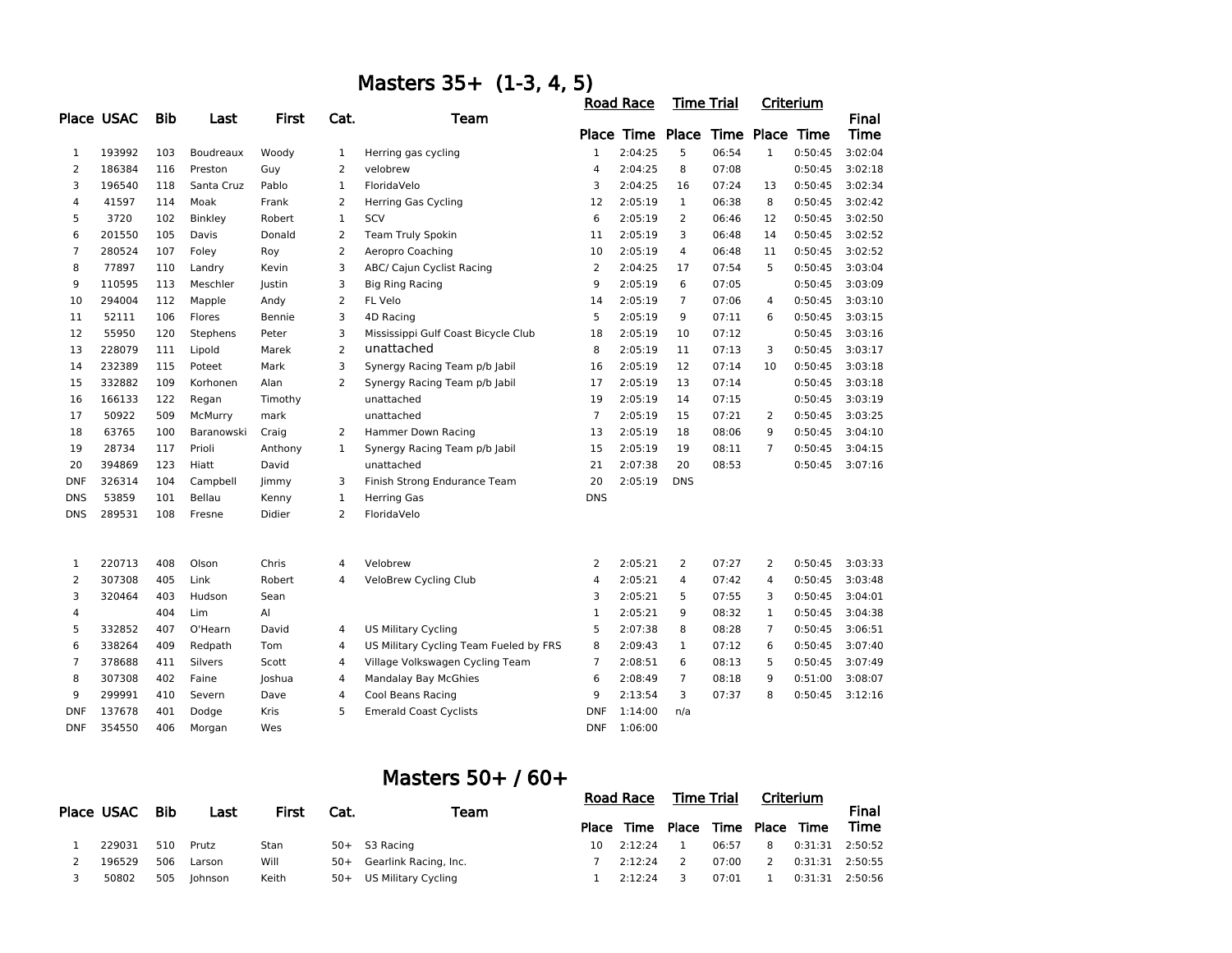|                | Masters 35+ (1-3, 4, 5) |            |                  |              |                |                                        |                |                                  |                   |       |                |           |              |  |
|----------------|-------------------------|------------|------------------|--------------|----------------|----------------------------------------|----------------|----------------------------------|-------------------|-------|----------------|-----------|--------------|--|
|                |                         |            |                  |              |                |                                        |                | <b>Road Race</b>                 | <b>Time Trial</b> |       |                | Criterium |              |  |
|                | <b>Place USAC</b>       | <b>Bib</b> | Last             | <b>First</b> | Cat.           | Team                                   |                |                                  |                   |       |                |           | <b>Final</b> |  |
|                |                         |            |                  |              |                |                                        |                | Place Time Place Time Place Time |                   |       |                |           | Time         |  |
| 1              | 193992                  | 103        | <b>Boudreaux</b> | Woody        | $\mathbf 1$    | Herring gas cycling                    | $\mathbf{1}$   | 2:04:25                          | 5                 | 06:54 | $\mathbf{1}$   | 0:50:45   | 3:02:04      |  |
| $\overline{2}$ | 186384                  | 116        | Preston          | Guy          | $\overline{2}$ | velobrew                               | 4              | 2:04:25                          | 8                 | 07:08 |                | 0:50:45   | 3:02:18      |  |
| 3              | 196540                  | 118        | Santa Cruz       | Pablo        | $\mathbf{1}$   | FloridaVelo                            | 3              | 2:04:25                          | 16                | 07:24 | 13             | 0:50:45   | 3:02:34      |  |
| 4              | 41597                   | 114        | Moak             | Frank        | $\overline{2}$ | <b>Herring Gas Cycling</b>             | 12             | 2:05:19                          | $\mathbf{1}$      | 06:38 | 8              | 0:50:45   | 3:02:42      |  |
| 5              | 3720                    | 102        | Binkley          | Robert       | $\mathbf{1}$   | <b>SCV</b>                             | 6              | 2:05:19                          | $\overline{2}$    | 06:46 | 12             | 0:50:45   | 3:02:50      |  |
| 6              | 201550                  | 105        | Davis            | Donald       | $\overline{2}$ | Team Truly Spokin                      | 11             | 2:05:19                          | 3                 | 06:48 | 14             | 0:50:45   | 3:02:52      |  |
| 7              | 280524                  | 107        | Foley            | Roy          | $\overline{2}$ | Aeropro Coaching                       | 10             | 2:05:19                          | 4                 | 06:48 | 11             | 0:50:45   | 3:02:52      |  |
| 8              | 77897                   | 110        | Landry           | Kevin        | 3              | ABC/ Cajun Cyclist Racing              | 2              | 2:04:25                          | 17                | 07:54 | 5              | 0:50:45   | 3:03:04      |  |
| 9              | 110595                  | 113        | Meschler         | Justin       | 3              | <b>Big Ring Racing</b>                 | 9              | 2:05:19                          | 6                 | 07:05 |                | 0:50:45   | 3:03:09      |  |
| 10             | 294004                  | 112        | Mapple           | Andy         | 2              | FL Velo                                | 14             | 2:05:19                          | $\overline{7}$    | 07:06 | 4              | 0:50:45   | 3:03:10      |  |
| 11             | 52111                   | 106        | Flores           | Bennie       | 3              | 4D Racing                              | 5              | 2:05:19                          | 9                 | 07:11 | 6              | 0:50:45   | 3:03:15      |  |
| 12             | 55950                   | 120        | Stephens         | Peter        | 3              | Mississippi Gulf Coast Bicycle Club    | 18             | 2:05:19                          | 10                | 07:12 |                | 0:50:45   | 3:03:16      |  |
| 13             | 228079                  | 111        | Lipold           | Marek        | $\overline{2}$ | unattached                             | 8              | 2:05:19                          | 11                | 07:13 | 3              | 0:50:45   | 3:03:17      |  |
| 14             | 232389                  | 115        | Poteet           | Mark         | 3              | Synergy Racing Team p/b Jabil          | 16             | 2:05:19                          | 12                | 07:14 | 10             | 0:50:45   | 3:03:18      |  |
| 15             | 332882                  | 109        | Korhonen         | Alan         | $\overline{2}$ | Synergy Racing Team p/b Jabil          | 17             | 2:05:19                          | 13                | 07:14 |                | 0:50:45   | 3:03:18      |  |
| 16             | 166133                  | 122        | Regan            | Timothy      |                | unattached                             | 19             | 2:05:19                          | 14                | 07:15 |                | 0:50:45   | 3:03:19      |  |
| 17             | 50922                   | 509        | McMurry          | mark         |                | unattached                             | $\overline{7}$ | 2:05:19                          | 15                | 07:21 | 2              | 0:50:45   | 3:03:25      |  |
| 18             | 63765                   | 100        | Baranowski       | Craig        | 2              | Hammer Down Racing                     | 13             | 2:05:19                          | 18                | 08:06 | 9              | 0:50:45   | 3:04:10      |  |
| 19             | 28734                   | 117        | Prioli           | Anthony      | $\mathbf{1}$   | Synergy Racing Team p/b Jabil          | 15             | 2:05:19                          | 19                | 08:11 | $\overline{7}$ | 0:50:45   | 3:04:15      |  |
| 20             | 394869                  | 123        | Hiatt            | David        |                | unattached                             | 21             | 2:07:38                          | 20                | 08:53 |                | 0:50:45   | 3:07:16      |  |
| <b>DNF</b>     | 326314                  | 104        | Campbell         | <b>limmy</b> | 3              | Finish Strong Endurance Team           | 20             | 2:05:19                          | <b>DNS</b>        |       |                |           |              |  |
| <b>DNS</b>     | 53859                   | 101        | Bellau           | Kenny        | $\mathbf{1}$   | <b>Herring Gas</b>                     | <b>DNS</b>     |                                  |                   |       |                |           |              |  |
| <b>DNS</b>     | 289531                  | 108        | Fresne           | Didier       | $\overline{2}$ | FloridaVelo                            |                |                                  |                   |       |                |           |              |  |
|                |                         |            |                  |              |                |                                        |                |                                  |                   |       |                |           |              |  |
| 1              | 220713                  | 408        | Olson            | Chris        | 4              | Velobrew                               | 2              | 2:05:21                          | $\overline{2}$    | 07:27 | $\overline{2}$ | 0:50:45   | 3:03:33      |  |
| $\overline{2}$ | 307308                  | 405        | Link             | Robert       | $\overline{4}$ | VeloBrew Cycling Club                  | 4              | 2:05:21                          | 4                 | 07:42 | $\overline{4}$ | 0:50:45   | 3:03:48      |  |
| 3              | 320464                  | 403        | Hudson           | Sean         |                |                                        | 3              | 2:05:21                          | 5                 | 07:55 | 3              | 0:50:45   | 3:04:01      |  |
| 4              |                         | 404        | Lim              | Al           |                |                                        | $\mathbf 1$    | 2:05:21                          | 9                 | 08:32 | $\mathbf 1$    | 0:50:45   | 3:04:38      |  |
| 5              | 332852                  | 407        | O'Hearn          | David        | 4              | <b>US Military Cycling</b>             | 5              | 2:07:38                          | 8                 | 08:28 | $\overline{7}$ | 0:50:45   | 3:06:51      |  |
| 6              | 338264                  | 409        | Redpath          | Tom          | 4              | US Military Cycling Team Fueled by FRS | 8              | 2:09:43                          | $\mathbf 1$       | 07:12 | 6              | 0:50:45   | 3:07:40      |  |
| $\overline{7}$ | 378688                  | 411        | Silvers          | Scott        | 4              | Village Volkswagen Cycling Team        | $\overline{7}$ | 2:08:51                          | 6                 | 08:13 | 5              | 0:50:45   | 3:07:49      |  |
| 8              | 307308                  | 402        | Faine            | Joshua       | 4              | Mandalay Bay McGhies                   | 6              | 2:08:49                          | $\overline{7}$    | 08:18 | 9              | 0:51:00   | 3:08:07      |  |
| 9              | 299991                  | 410        | Severn           | Dave         | 4              | Cool Beans Racing                      | 9              | 2:13:54                          | 3                 | 07:37 | 8              | 0:50:45   | 3:12:16      |  |
| <b>DNF</b>     | 137678                  | 401        | Dodge            | Kris         | 5              | <b>Emerald Coast Cyclists</b>          | <b>DNF</b>     | 1:14:00                          | n/a               |       |                |           |              |  |
| <b>DNF</b>     | 354550                  | 406        | Morgan           | Wes          |                |                                        | <b>DNF</b>     | 1:06:00                          |                   |       |                |           |              |  |

### Masters 50+ / 60+

| Place USAC | Bib |         |       |       | Last                  | First | Cat.       | Team |       | Road Race |                       | Time Trial |  | Criterium |  |
|------------|-----|---------|-------|-------|-----------------------|-------|------------|------|-------|-----------|-----------------------|------------|--|-----------|--|
|            |     |         |       |       |                       |       | Place Time |      |       |           | Place Time Place Time | Time       |  |           |  |
| 229031     | 510 | Prutz   | Stan  |       | 50+ S3 Racing         | 10    | 2:12:24    |      | 06:57 | 8         | 0:31:31 2:50:52       |            |  |           |  |
| 196529     | 506 | Larson  | Will  | 50+   | Gearlink Racing, Inc. |       | 2:12:24    |      | 07:00 |           | 0:31:31 2:50:55       |            |  |           |  |
| 50802      | 505 | Iohnson | Keith | $50+$ | US Military Cycling   |       | 2:12:24    |      | 07:01 |           | 0:31:31 2:50:56       |            |  |           |  |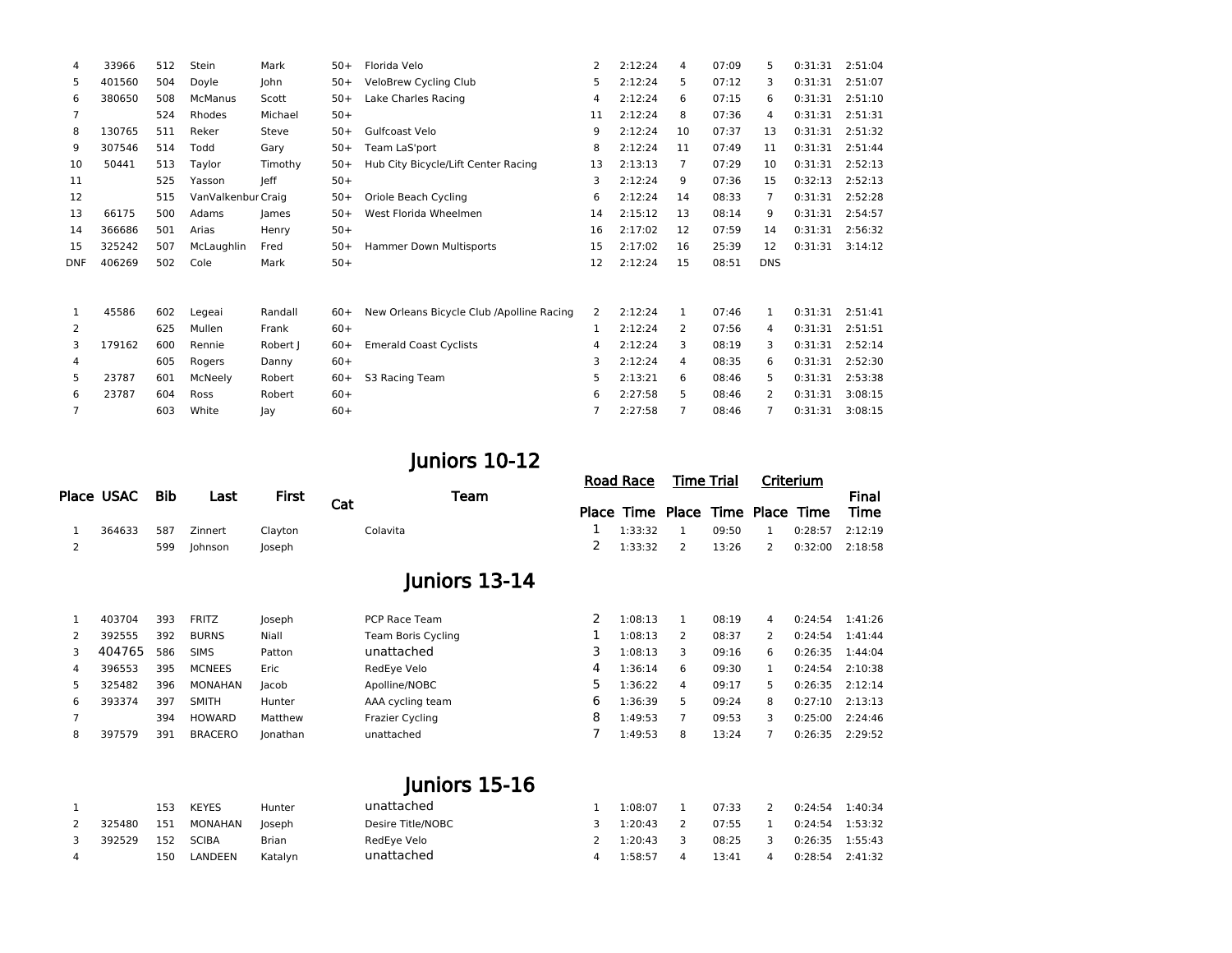| 4          | 33966  | 512 | Stein              | Mark    | $50+$ | Florida Velo                              | 2  | 2:12:24 | 4            | 07:09 | 5.             | 0:31:31 | 2:51:04 |
|------------|--------|-----|--------------------|---------|-------|-------------------------------------------|----|---------|--------------|-------|----------------|---------|---------|
| 5          | 401560 | 504 | Doyle              | John    | $50+$ | VeloBrew Cycling Club                     | 5  | 2:12:24 | 5            | 07:12 | 3              | 0:31:31 | 2:51:07 |
| 6          | 380650 | 508 | <b>McManus</b>     | Scott   | $50+$ | Lake Charles Racing                       | 4  | 2:12:24 | 6            | 07:15 | 6              | 0:31:31 | 2:51:10 |
| 7          |        | 524 | Rhodes             | Michael | $50+$ |                                           | 11 | 2:12:24 | 8            | 07:36 | 4              | 0:31:31 | 2:51:31 |
| 8          | 130765 | 511 | Reker              | Steve   | $50+$ | Gulfcoast Velo                            | 9  | 2:12:24 | 10           | 07:37 | 13             | 0:31:31 | 2:51:32 |
| 9          | 307546 | 514 | Todd               | Gary    | $50+$ | Team LaS'port                             | 8  | 2:12:24 | 11           | 07:49 | 11             | 0:31:31 | 2:51:44 |
| 10         | 50441  | 513 | Taylor             | Timothy | $50+$ | Hub City Bicycle/Lift Center Racing       | 13 | 2:13:13 | 7            | 07:29 | 10             | 0:31:31 | 2:52:13 |
| 11         |        | 525 | Yasson             | leff    | $50+$ |                                           | 3  | 2:12:24 | 9            | 07:36 | 15             | 0:32:13 | 2:52:13 |
| 12         |        | 515 | VanValkenbur Craig |         | $50+$ | Oriole Beach Cycling                      | 6  | 2:12:24 | 14           | 08:33 | $\overline{7}$ | 0:31:31 | 2:52:28 |
| 13         | 66175  | 500 | Adams              | James   | $50+$ | West Florida Wheelmen                     | 14 | 2:15:12 | 13           | 08:14 | 9              | 0:31:31 | 2:54:57 |
| 14         | 366686 | 501 | Arias              | Henry   | $50+$ |                                           | 16 | 2:17:02 | 12           | 07:59 | 14             | 0:31:31 | 2:56:32 |
| 15         | 325242 | 507 | McLaughlin         | Fred    | $50+$ | Hammer Down Multisports                   | 15 | 2:17:02 | 16           | 25:39 | 12             | 0:31:31 | 3:14:12 |
| <b>DNF</b> | 406269 | 502 | Cole               | Mark    | $50+$ |                                           | 12 | 2:12:24 | 15           | 08:51 | <b>DNS</b>     |         |         |
|            |        |     |                    |         |       |                                           |    |         |              |       |                |         |         |
|            |        |     |                    |         |       |                                           |    |         |              |       |                |         |         |
| 1          | 45586  | 602 | Legeai             | Randall | $60+$ | New Orleans Bicycle Club /Apolline Racing | 2  | 2:12:24 | $\mathbf{1}$ | 07:46 | $\mathbf{1}$   | 0:31:31 | 2:51:41 |
| 2          |        | 625 | Mullen             | Frank   | $60+$ |                                           | 1  | 2:12:24 | 2            | 07:56 | 4              | 0:31:31 | 2:51:51 |
| 3          | 179162 | 600 | Rennie             | Robert  | $60+$ | <b>Emerald Coast Cyclists</b>             | 4  | 2:12:24 | 3            | 08:19 | 3              | 0:31:31 | 2:52:14 |
| 4          |        | 605 | Rogers             | Danny   | $60+$ |                                           | 3  | 2:12:24 | 4            | 08:35 | 6              | 0:31:31 | 2:52:30 |
| 5          | 23787  | 601 | McNeely            | Robert  | $60+$ | S3 Racing Team                            | 5  | 2:13:21 | 6            | 08:46 | 5              | 0:31:31 | 2:53:38 |
| 6          | 23787  | 604 | Ross               | Robert  | $60+$ |                                           | 6  | 2:27:58 | 5            | 08:46 | 2              | 0:31:31 | 3:08:15 |
| 7          |        | 603 | White              | lay     | $60+$ |                                           | 7  | 2:27:58 |              | 08:46 | 7              | 0:31:31 | 3:08:15 |

# Juniors 10-12

| Place USAC Bib |  | Last        | First <sub>Cat</sub> |          | Team |  | Road Race Time Trial      | Criterium |  | Final                   |                                       |
|----------------|--|-------------|----------------------|----------|------|--|---------------------------|-----------|--|-------------------------|---------------------------------------|
|                |  |             |                      |          |      |  |                           |           |  |                         | Place Time Place Time Place Time Time |
| 364633         |  | 587 Zinnert | Clayton              | Colavita |      |  | $1 \quad 1:33:32 \quad 1$ |           |  | 09:50 1 0:28:57 2:12:19 |                                       |
|                |  | 599 Johnson | loseph               |          |      |  | 2 1:33:32 2               |           |  |                         | 13:26 2 0:32:00 2:18:58               |

# Juniors 13-14

|   |        |     |                |             |                           |   | 1:08:13 |   |       |   |                     | 1:41:26 |
|---|--------|-----|----------------|-------------|---------------------------|---|---------|---|-------|---|---------------------|---------|
|   | 403704 | 393 | <b>FRITZ</b>   | Joseph      | PCP Race Team             |   |         |   | 08:19 | 4 | 0:24:54             |         |
| 2 | 392555 | 392 | <b>BURNS</b>   | Niall       | <b>Team Boris Cycling</b> |   | 1:08:13 |   | 08:37 |   | 0:24:54             | 1:41:44 |
| 3 | 404765 | 586 | <b>SIMS</b>    | Patton      | unattached                |   | 1:08:13 |   | 09:16 | 6 | 0:26:35             | 1:44:04 |
| 4 | 396553 | 395 | <b>MCNEES</b>  | <b>Eric</b> | RedEye Velo               | 4 | 1:36:14 | 6 | 09:30 |   | 0:24:54             | 2:10:38 |
| 5 | 325482 | 396 | MONAHAN        | lacob       | Apolline/NOBC             |   | 1:36:22 | 4 | 09:17 | 5 | $0:26:35$ $2:12:14$ |         |
| 6 | 393374 | 397 | <b>SMITH</b>   | Hunter      | AAA cycling team          | 6 | 1:36:39 |   | 09:24 | 8 | 0:27:10             | 2:13:13 |
|   |        | 394 | HOWARD         | Matthew     | <b>Frazier Cycling</b>    | 8 | 1:49:53 |   | 09:53 |   | 0:25:00             | 2:24:46 |
| 8 | 397579 | 391 | <b>BRACERO</b> | Jonathan    | unattached                |   | 1:49:53 | 8 | 13:24 |   | 0:26:35             | 2:29:52 |
|   |        |     |                |             |                           |   |         |   |       |   |                     |         |

# Juniors 15-16

|                |        | 153 | <b>KEYES</b> | Hunter  | unattached        | 1:08:07 | 07:33 |   | 0:24:54 1:40:34 |  |
|----------------|--------|-----|--------------|---------|-------------------|---------|-------|---|-----------------|--|
|                | 325480 | 151 | MONAHAN      | loseph  | Desire Title/NOBC | 1:20:43 | 07:55 |   | 0:24:54 1:53:32 |  |
|                | 392529 | 152 | SCIBA        | Brian   | RedEye Velo       | 1:20:43 | 08:25 | 3 | 0:26:35 1:55:43 |  |
| $\overline{a}$ |        | 150 | LANDEEN      | Katalyn | unattached        | 1:58:57 | 13:41 |   | 0:28:54 2:41:32 |  |
|                |        |     |              |         |                   |         |       |   |                 |  |